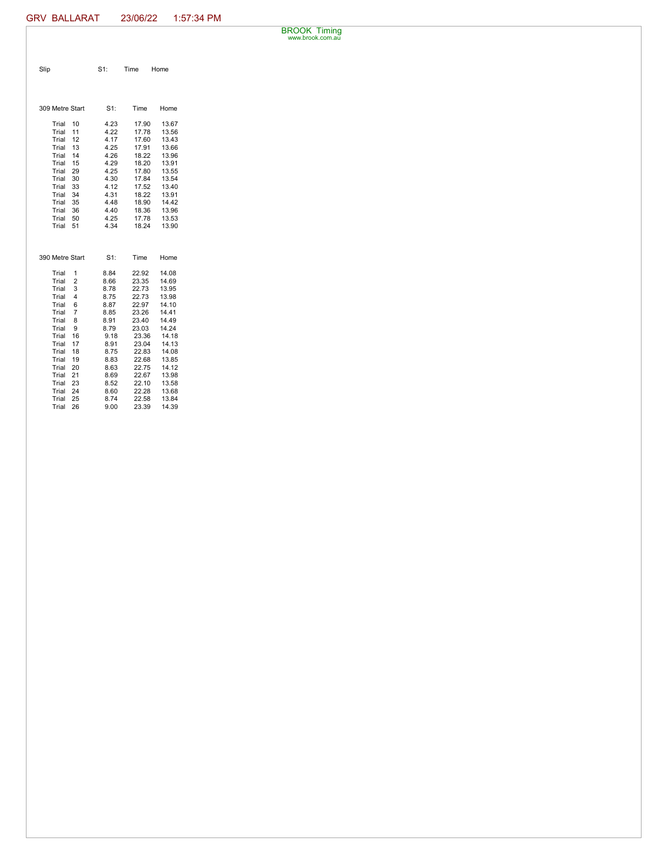BROOK Timing www.brook.com.au

| Slip                       | S1:          | Time           | Home           |
|----------------------------|--------------|----------------|----------------|
|                            |              |                |                |
|                            |              |                |                |
| 309 Metre Start            | $S1$ :       | Time           | Home           |
| Trial<br>10                | 4.23         | 17.90          | 13.67          |
| Trial<br>11                | 4.22         | 17.78          | 13.56          |
| Trial<br>12                | 4.17         | 17.60          | 13.43          |
| 13<br>Trial                | 4.25         | 17.91          | 13.66          |
| Trial<br>14<br>Trial<br>15 | 4.26<br>4.29 | 18.22<br>18.20 | 13.96<br>13.91 |
| Trial<br>29                | 4.25         | 17.80          | 13.55          |
| Trial<br>30                | 4.30         | 17.84          | 13.54          |
| 33<br>Trial                | 4.12         | 17.52          | 13.40          |
| Trial<br>34                | 4.31         | 18.22          | 13.91          |
| Trial<br>35                | 4.48         | 18.90          | 14.42          |
| Trial<br>36                | 4.40         | 18.36          | 13.96          |
| Trial<br>50                | 4.25         | 17.78          | 13.53          |
| 51<br>Trial                | 4.34         | 18.24          | 13.90          |
|                            |              |                |                |
|                            |              |                |                |
| 390 Metre Start            | S1:          | Time           | Home           |
| Trial<br>1                 | 8.84         | 22.92          | 14.08          |
| $\overline{2}$<br>Trial    | 8.66         | 23.35          | 14.69          |
| Trial<br>3                 | 8.78         | 22.73          | 13.95          |
| Trial<br>4                 | 8.75         | 22.73          | 13.98          |
| Trial<br>6                 | 8.87         | 22.97          | 14.10          |
| $\overline{7}$<br>Trial    | 8.85         | 23.26          | 14.41          |
| Trial<br>8                 | 8.91         | 23.40          | 14.49          |
| Trial<br>9                 | 8.79         | 23.03          | 14.24          |
| Trial<br>16                | 9.18         | 23.36          | 14.18          |
| 17<br>Trial<br>Trial<br>18 | 8.91<br>8.75 | 23.04<br>22.83 | 14.13<br>14.08 |
| Trial<br>19                | 8.83         | 22.68          | 13.85          |
| Trial<br>20                | 8.63         | 22.75          | 14.12          |
| Trial<br>21                | 8.69         | 22.67          | 13.98          |
| Trial<br>23                | 8.52         | 22.10          | 13.58          |
| 24<br>Trial                | 8.60         | 22.28          | 13.68          |
| 25<br>Trial                | 8.74         | 22.58          | 13.84          |
| 26<br>Trial                | 9.00         | 23.39          | 14.39          |